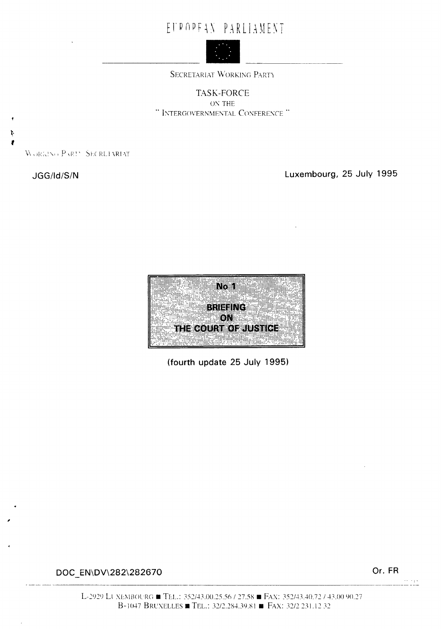# E I'R OP F A N P A R L I A M E N T



SECRETARIAT WORKING PARTY

TASK-FORCE 0\' THE " INTERGOVERNMENTAL CONFERENCE "

WORKING PARTY SECRETARIAT

Ņ

**JGG/Id/S/N Luxembourg, 25 July 1995** 



**(fourth update 25 July 1995)** 

**DOC EN\DV\282\282670** 

,

**Or. FR**  -'I' --~-~~--- -----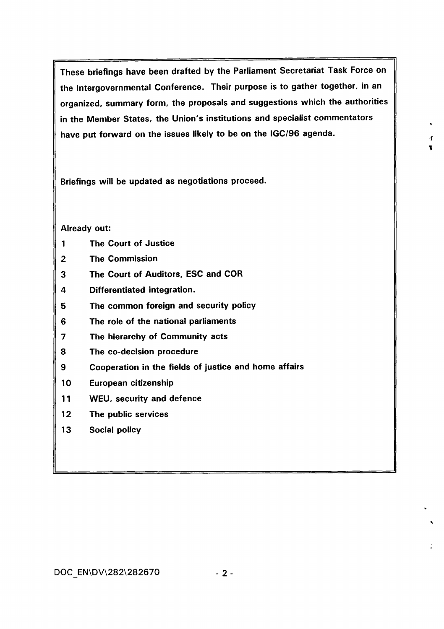These briefings have been drafted by the Parliament Secretariat Task Force on the Intergovernmental Conference. Their purpose is to gather together, in an organized, summary form, the proposals and suggestions which the authorities in the Member States, the Union's institutions and specialist commentators have put forward on the issues likely to be on the IGC/96 agenda.

*·1* 

'

..

Briefings will be updated as negotiations proceed.

## Already out:

- 1 The Court of Justice
- 2 The Commission
- 3 The Court of Auditors, ESC and COR
- 4 Differentiated integration.
- 5 The common foreign and security policy
- 6 The role of the national parliaments
- 7 The hierarchy of Community acts
- 8 The co-decision procedure
- 9 Cooperation in the fields of justice and home affairs
- 10 European citizenship
- 11 WEU, security and defence
- 12 The public services
- 13 Social policy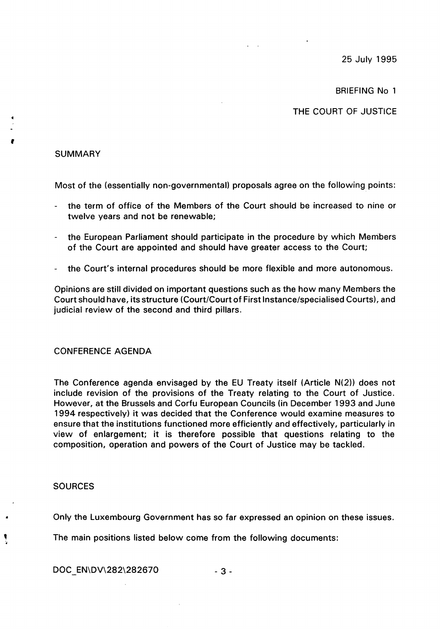25 July 1995

BRIEFING No 1

THE COURT OF JUSTICE

## **SUMMARY**

'

Most of the (essentially non-governmental) proposals agree on the following points:

- the term of office of the Members of the Court should be increased to nine or twelve years and not be renewable;
- the European Parliament should participate in the procedure by which Members of the Court are appointed and should have greater access to the Court;
- the Court's internal procedures should be more flexible and more autonomous.

Opinions are still divided on important questions such as the how many Members the Court should have, its structure (Court/Court of First Instance/specialised Courts), and judicial review of the second and third pillars.

## CONFERENCE AGENDA

The Conference agenda envisaged by the EU Treaty itself (Article N(2)) does not include revision of the provisions of the Treaty relating to the Court of Justice. However, at the Brussels and Corfu European Councils (in December 1993 and June 1994 respectively) it was decided that the Conference would examine measures to ensure that the institutions functioned more efficiently and effectively, particularly in view of enlargement; it is therefore possible that questions relating to the composition, operation and powers of the Court of Justice may be tackled.

## SOURCES

•

Only the Luxembourg Government has so far expressed an opinion on these issues .

The main positions listed below come from the following documents:

 $DOC$   $EN\left|OV\right|282\left|282670$   $-3$  -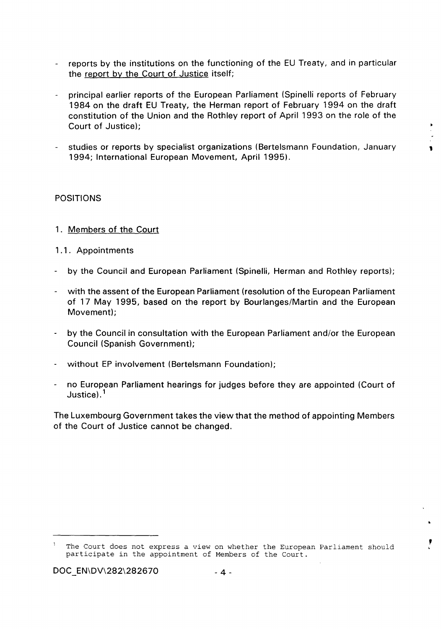- reports by the institutions on the functioning of the EU Treaty, and in particular the report by the Court of Justice itself;
- principal earlier reports of the European Parliament (Spinelli reports of February 1984 on the draft EU Treaty, the Herman report of February 1994 on the draft constitution of the Union and the Rothley report of April 1993 on the role of the Court of Justice);
- studies or reports by specialist organizations (Bertelsmann Foundation, January , 1994; International European Movement, April 1995).

## POSITIONS

- 1. Members of the Court
- 1.1. Appointments
- by the Council and European Parliament (Spinelli, Herman and Rothley reports);
- with the assent of the European Parliament (resolution of the European Parliament of 17 May 1995, based on the report by Bourlanges/Martin and the European Movement);
- by the Council in consultation with the European Parliament and/or the European Council (Spanish Government);
- without EP involvement (Bertelsmann Foundation);
- no European Parliament hearings for judges before they are appointed (Court of Justice). $^{\mathsf{1}}$

The Luxembourg Government takes the view that the method of appointing Members of the Court of Justice cannot be changed.

,<br>,

'

The Court does not express a view on whether the European Parliament should participate in the appointment of Members of the Court.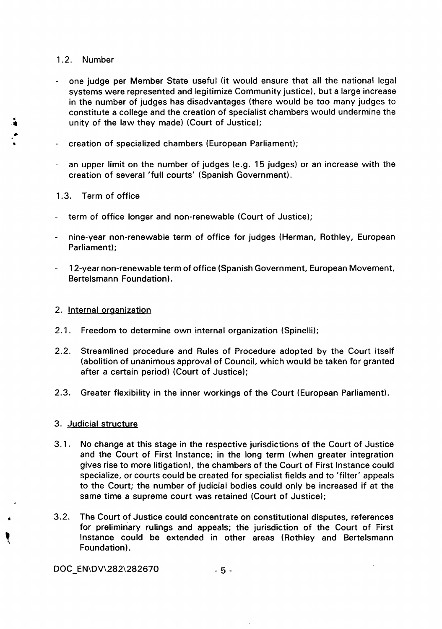## 1 .2. Number

- one judge per Member State useful (it would ensure that all the national legal systems were represented and legitimize Community justice), but a large increase in the number of judges has disadvantages (there would be too many judges to constitute a college and the creation of specialist chambers would undermine the unity of the law they made) (Court of Justice);
- creation of specialized chambers (European Parliament);
- an upper limit on the number of judges (e.g. 15 judges) or an increase with the creation of several 'full courts' (Spanish Government).

## 1 .3. Term of office

- term of office longer and non-renewable (Court of Justice);
- nine-year non-renewable term of office for judges (Herman, Rothley, European Parliament);
- 1 2-year non-renewable term of office (Spanish Government, European Movement, Bertelsmann Foundation).

## 2. Internal organization

- 2.1. Freedom to determine own internal organization (Spinelli);
- 2.2. Streamlined procedure and Rules of Procedure adopted by the Court itself (abolition of unanimous approval of Council, which would be taken for granted after a certain period) (Court of Justice);
- 2.3. Greater flexibility in the inner workings of the Court (European Parliament).

## 3. Judicial structure

 $\begin{matrix} \bullet & \bullet \\ \bullet & \bullet \end{matrix}$ 

- 3.1. No change at this stage in the respective jurisdictions of the Court of Justice and the Court of First Instance; in the long term (when greater integration gives rise to more litigation), the chambers of the Court of First Instance could specialize, or courts could be created for specialist fields and to 'filter' appeals to the Court; the number of judicial bodies could only be increased if at the same time a supreme court was retained (Court of Justice);
- 3.2. The Court of Justice could concentrate on constitutional disputes, references for preliminary rulings and appeals; the jurisdiction of the Court of First Instance could be extended in other areas (Rothley and Bertelsmann Foundation).

DOC EN\DV\282\282670  $-5$  -